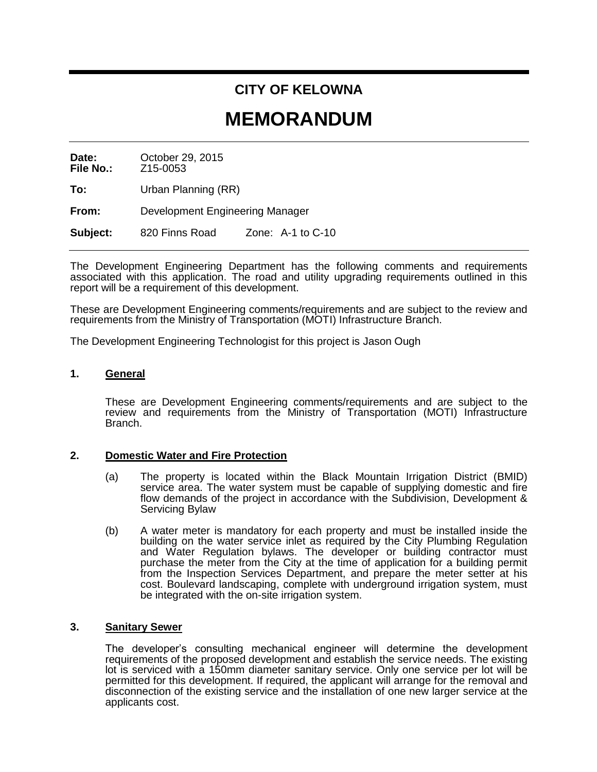# **CITY OF KELOWNA**

# **MEMORANDUM**

**Date: October 29, 2015**<br> **File No.:** 715-0053 **File No.:** Z15-0053

**To:** Urban Planning (RR)

**From:** Development Engineering Manager

**Subject:** 820 Finns Road Zone: A-1 to C-10

The Development Engineering Department has the following comments and requirements associated with this application. The road and utility upgrading requirements outlined in this report will be a requirement of this development.

These are Development Engineering comments/requirements and are subject to the review and requirements from the Ministry of Transportation (MOTI) Infrastructure Branch.

The Development Engineering Technologist for this project is Jason Ough

#### **1. General**

These are Development Engineering comments/requirements and are subject to the review and requirements from the Ministry of Transportation (MOTI) Infrastructure Branch.

# **2. Domestic Water and Fire Protection**

- (a) The property is located within the Black Mountain Irrigation District (BMID) service area. The water system must be capable of supplying domestic and fire flow demands of the project in accordance with the Subdivision, Development & Servicing Bylaw
- (b) A water meter is mandatory for each property and must be installed inside the building on the water service inlet as required by the City Plumbing Regulation and Water Regulation bylaws. The developer or building contractor must purchase the meter from the City at the time of application for a building permit from the Inspection Services Department, and prepare the meter setter at his cost. Boulevard landscaping, complete with underground irrigation system, must be integrated with the on-site irrigation system.

# **3. Sanitary Sewer**

The developer's consulting mechanical engineer will determine the development requirements of the proposed development and establish the service needs. The existing lot is serviced with a 150mm diameter sanitary service. Only one service per lot will be permitted for this development. If required, the applicant will arrange for the removal and disconnection of the existing service and the installation of one new larger service at the applicants cost.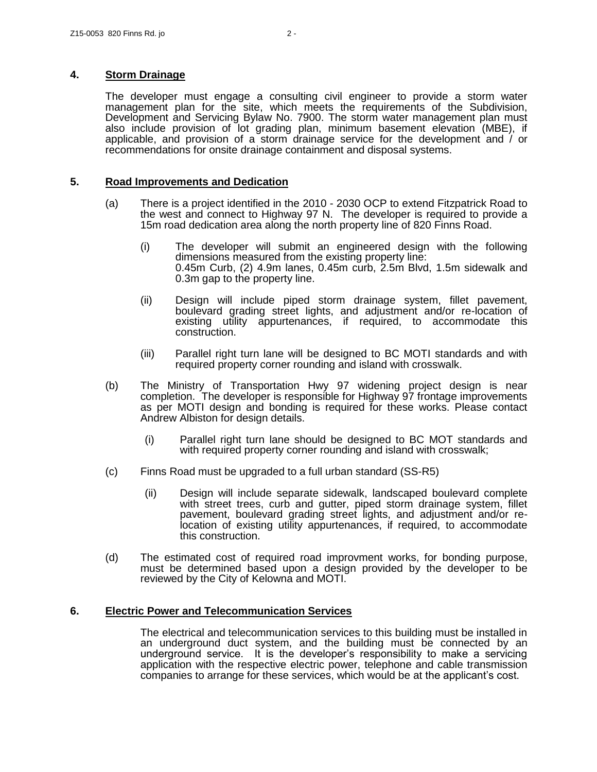#### **4. Storm Drainage**

The developer must engage a consulting civil engineer to provide a storm water management plan for the site, which meets the requirements of the Subdivision, Development and Servicing Bylaw No. 7900. The storm water management plan must also include provision of lot grading plan, minimum basement elevation (MBE), if applicable, and provision of a storm drainage service for the development and / or recommendations for onsite drainage containment and disposal systems.

#### **5. Road Improvements and Dedication**

- (a) There is a project identified in the 2010 2030 OCP to extend Fitzpatrick Road to the west and connect to Highway 97 N. The developer is required to provide a 15m road dedication area along the north property line of 820 Finns Road.
	- (i) The developer will submit an engineered design with the following dimensions measured from the existing property line: 0.45m Curb, (2) 4.9m lanes, 0.45m curb, 2.5m Blvd, 1.5m sidewalk and 0.3m gap to the property line.
	- (ii) Design will include piped storm drainage system, fillet pavement, boulevard grading street lights, and adjustment and/or re-location of existing utility appurtenances, if required, to accommodate this construction.
	- (iii) Parallel right turn lane will be designed to BC MOTI standards and with required property corner rounding and island with crosswalk.
- (b) The Ministry of Transportation Hwy 97 widening project design is near completion. The developer is responsible for Highway 97 frontage improvements as per MOTI design and bonding is required for these works. Please contact Andrew Albiston for design details.
	- (i) Parallel right turn lane should be designed to BC MOT standards and with required property corner rounding and island with crosswalk;
- (c) Finns Road must be upgraded to a full urban standard (SS-R5)
	- (ii) Design will include separate sidewalk, landscaped boulevard complete with street trees, curb and gutter, piped storm drainage system, fillet pavement, boulevard grading street lights, and adjustment and/or relocation of existing utility appurtenances, if required, to accommodate this construction.
- (d) The estimated cost of required road improvment works, for bonding purpose, must be determined based upon a design provided by the developer to be reviewed by the City of Kelowna and MOTI.

# **6. Electric Power and Telecommunication Services**

The electrical and telecommunication services to this building must be installed in an underground duct system, and the building must be connected by an underground service. It is the developer's responsibility to make a servicing application with the respective electric power, telephone and cable transmission companies to arrange for these services, which would be at the applicant's cost.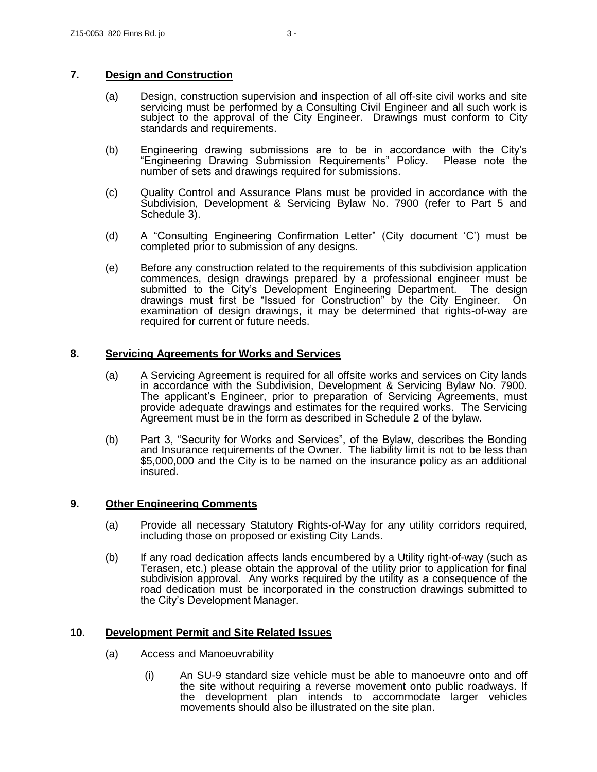# **7. Design and Construction**

- (a) Design, construction supervision and inspection of all off-site civil works and site servicing must be performed by a Consulting Civil Engineer and all such work is subject to the approval of the City Engineer. Drawings must conform to City standards and requirements.
- (b) Engineering drawing submissions are to be in accordance with the City's "Engineering Drawing Submission Requirements" Policy. Please note the number of sets and drawings required for submissions.
- (c) Quality Control and Assurance Plans must be provided in accordance with the Subdivision, Development & Servicing Bylaw No. 7900 (refer to Part 5 and Schedule 3).
- (d) A "Consulting Engineering Confirmation Letter" (City document 'C') must be completed prior to submission of any designs.
- (e) Before any construction related to the requirements of this subdivision application commences, design drawings prepared by a professional engineer must be submitted to the City's Development Engineering Department. The design drawings must first be "Issued for Construction" by the City Engineer. On drawings must first be "Issued for Construction" by the City Engineer. examination of design drawings, it may be determined that rights-of-way are required for current or future needs.

# **8. Servicing Agreements for Works and Services**

- (a) A Servicing Agreement is required for all offsite works and services on City lands in accordance with the Subdivision, Development & Servicing Bylaw No. 7900. The applicant's Engineer, prior to preparation of Servicing Agreements, must provide adequate drawings and estimates for the required works. The Servicing Agreement must be in the form as described in Schedule 2 of the bylaw.
- (b) Part 3, "Security for Works and Services", of the Bylaw, describes the Bonding and Insurance requirements of the Owner. The liability limit is not to be less than \$5,000,000 and the City is to be named on the insurance policy as an additional insured.

# **9. Other Engineering Comments**

- (a) Provide all necessary Statutory Rights-of-Way for any utility corridors required, including those on proposed or existing City Lands.
- (b) If any road dedication affects lands encumbered by a Utility right-of-way (such as Terasen, etc.) please obtain the approval of the utility prior to application for final subdivision approval. Any works required by the utility as a consequence of the road dedication must be incorporated in the construction drawings submitted to the City's Development Manager.

# **10. Development Permit and Site Related Issues**

- (a) Access and Manoeuvrability
	- (i) An SU-9 standard size vehicle must be able to manoeuvre onto and off the site without requiring a reverse movement onto public roadways. If the development plan intends to accommodate larger vehicles movements should also be illustrated on the site plan.